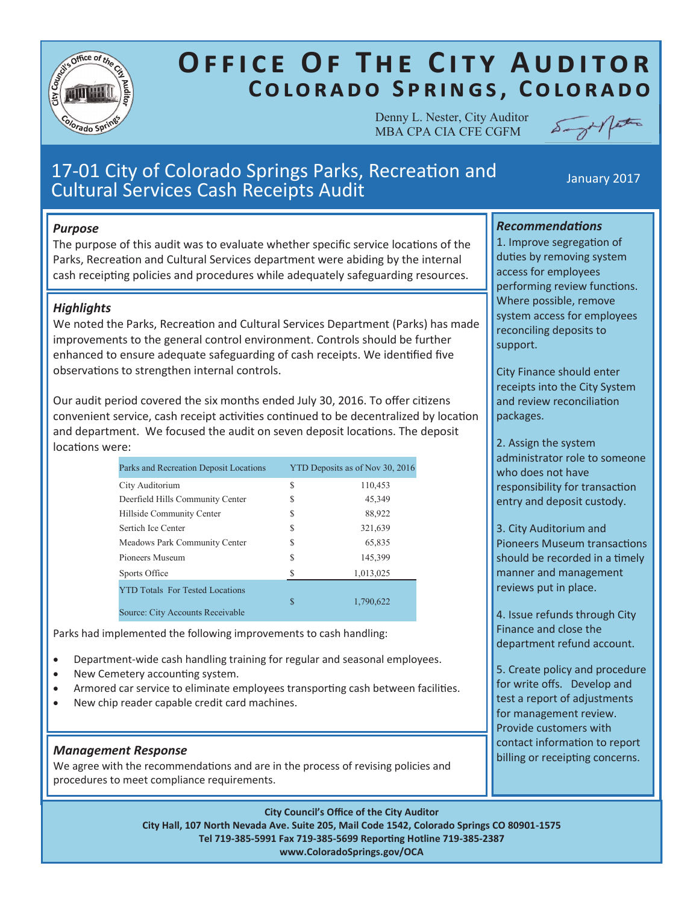

# **OFFICE OF THE CITY AUDITOR** COLORADO SPRINGS, COLORADO

Denny L. Nester, City Auditor MBA CPA CIA CFE CGFM



## 17-01 City of Colorado Springs Parks, Recreation and 17-01 City of Colorado Springs Parks, Recreation and The Manuary 2017

### *Purpose*

The purpose of this audit was to evaluate whether specific service locations of the Parks, Recreation and Cultural Services department were abiding by the internal cash receipting policies and procedures while adequately safeguarding resources.

### *Highlights*

We noted the Parks, Recreation and Cultural Services Department (Parks) has made improvements to the general control environment. Controls should be further enhanced to ensure adequate safeguarding of cash receipts. We identified five observations to strengthen internal controls.

Our audit period covered the six months ended July 30, 2016. To offer citizens convenient service, cash receipt activities continued to be decentralized by location and department. We focused the audit on seven deposit locations. The deposit locations were:

| Parks and Recreation Deposit Locations                                     | YTD Deposits as of Nov 30, 2016 |           |
|----------------------------------------------------------------------------|---------------------------------|-----------|
| City Auditorium                                                            | S                               | 110,453   |
| Deerfield Hills Community Center                                           | \$                              | 45,349    |
| Hillside Community Center                                                  | S                               | 88,922    |
| Sertich Ice Center                                                         | \$                              | 321,639   |
| Meadows Park Community Center                                              | S                               | 65,835    |
| Pioneers Museum                                                            | \$                              | 145,399   |
| Sports Office                                                              | S                               | 1,013,025 |
| <b>YTD Totals For Tested Locations</b><br>Source: City Accounts Receivable | \$                              | 1,790,622 |

Parks had implemented the following improvements to cash handling:

- Department-wide cash handling training for regular and seasonal employees.
- New Cemetery accounting system.
- Armored car service to eliminate employees transporting cash between facilities.
- New chip reader capable credit card machines.

**Management Response**<br>We agree with the recommendations and are in the process of revising policies and **billing or receipting concerns.** procedures to meet compliance requirements.

**City Council's Office of the City Auditor** 

**City Hall, 107 North Nevada Ave. Suite 205, Mail Code 1542, Colorado Springs CO 80901-1575 Tel 719-385-5991 Fax 719-385-5699 Reporting Hotline 719-385-2387 www.ColoradoSprings.gov/OCA**

### *Recommendations*

1. Improve segregation of duties by removing system access for employees performing review functions. Where possible, remove system access for employees reconciling deposits to support.

City Finance should enter receipts into the City System and review reconciliation packages.

2. Assign the system administrator role to someone who does not have responsibility for transaction entry and deposit custody.

3. City Auditorium and Pioneers Museum transactions should be recorded in a timely manner and management reviews put in place.

4. Issue refunds through City Finance and close the department refund account.

5. Create policy and procedure for write offs. Develop and test a report of adjustments for management review. Provide customers with contact information to report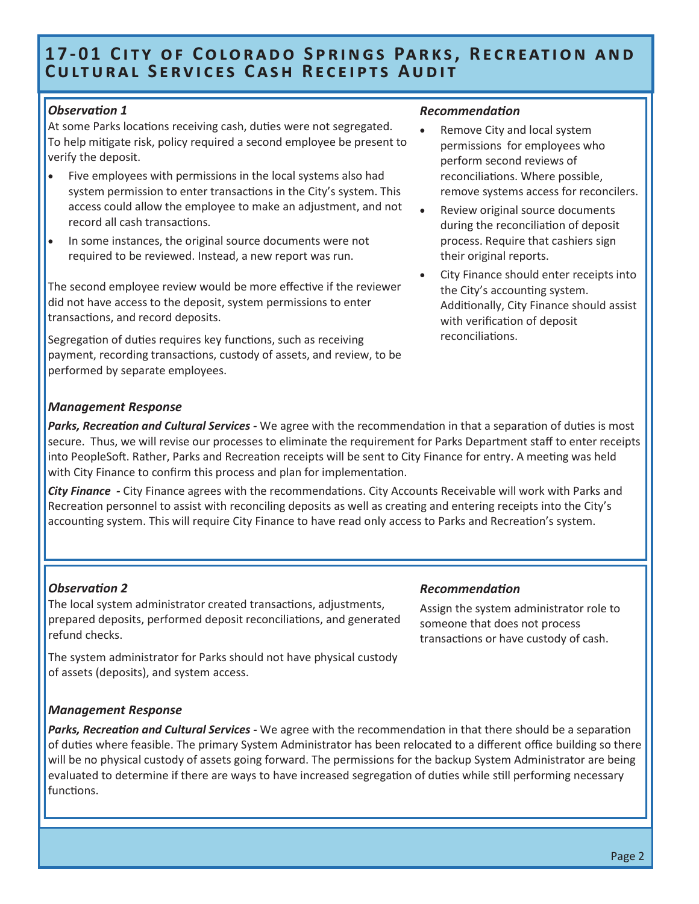### **17-01 CITY OF COLORADO SPRINGS PARKS, RECREATION AND CULTURAL SERVICES CASH RECEIPTS AUDIT**

### *Observation 1*

At some Parks locations receiving cash, duties were not segregated. To help mitigate risk, policy required a second employee be present to verify the deposit.

- Five employees with permissions in the local systems also had system permission to enter transactions in the City's system. This access could allow the employee to make an adjustment, and not record all cash transactions.
- In some instances, the original source documents were not required to be reviewed. Instead, a new report was run.

The second employee review would be more effective if the reviewer did not have access to the deposit, system permissions to enter transactions, and record deposits.

Segregation of duties requires key functions, such as receiving payment, recording transactions, custody of assets, and review, to be performed by separate employees.

### *Recommendation*

- Remove City and local system permissions for employees who perform second reviews of reconciliations. Where possible, remove systems access for reconcilers.
- Review original source documents during the reconciliation of deposit process. Require that cashiers sign their original reports.
- City Finance should enter receipts into the City's accounting system. Additionally, City Finance should assist with verification of deposit reconciliations.

### *Management Response*

*Parks, Recreation and Cultural Services -* We agree with the recommendation in that a separation of duties is most secure. Thus, we will revise our processes to eliminate the requirement for Parks Department staff to enter receipts into PeopleSoft. Rather, Parks and Recreation receipts will be sent to City Finance for entry. A meeting was held with City Finance to confirm this process and plan for implementation.

*City Finance -* City Finance agrees with the recommendations. City Accounts Receivable will work with Parks and Recreation personnel to assist with reconciling deposits as well as creating and entering receipts into the City's accounting system. This will require City Finance to have read only access to Parks and Recreation's system.

### *Observation 2*

The local system administrator created transactions, adjustments, prepared deposits, performed deposit reconciliations, and generated refund checks.

The system administrator for Parks should not have physical custody of assets (deposits), and system access.

### *Management Response*

*Parks, Recreation and Cultural Services -* We agree with the recommendation in that there should be a separation of duties where feasible. The primary System Administrator has been relocated to a different office building so there will be no physical custody of assets going forward. The permissions for the backup System Administrator are being evaluated to determine if there are ways to have increased segregation of duties while still performing necessary functions.

#### *Recommendation*

Assign the system administrator role to someone that does not process transactions or have custody of cash.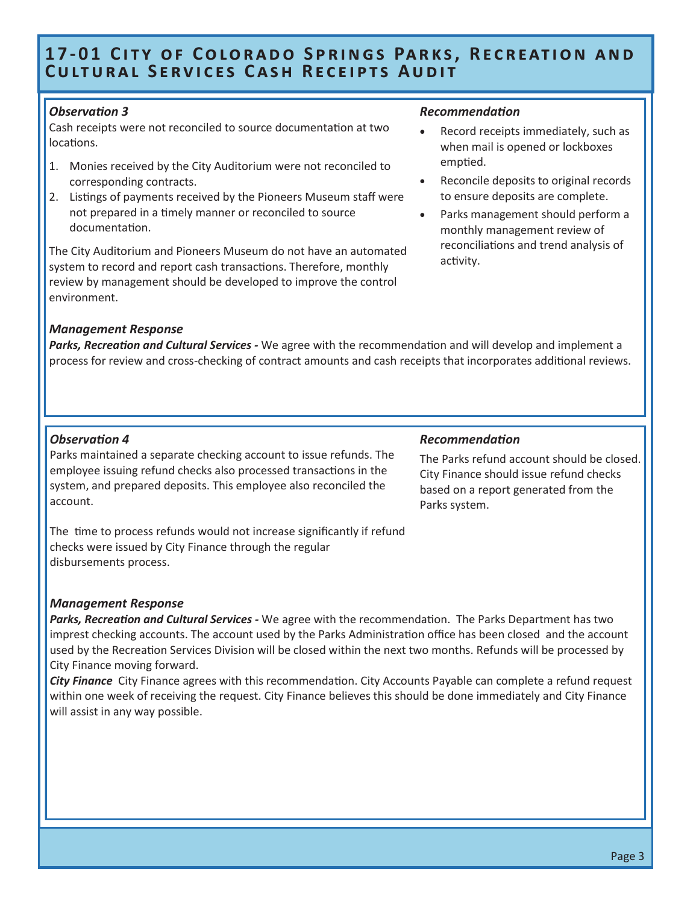### **17-01 CITY OF COLORADO SPRINGS PARKS, RECREATION AND CULTURAL SERVICES CASH RECEIPTS AUDIT**

### *Observation 3*

Cash receipts were not reconciled to source documentation at two locations.

- 1. Monies received by the City Auditorium were not reconciled to corresponding contracts.
- 2. Listings of payments received by the Pioneers Museum staff were not prepared in a timely manner or reconciled to source documentation.

The City Auditorium and Pioneers Museum do not have an automated system to record and report cash transactions. Therefore, monthly review by management should be developed to improve the control environment.

### *Management Response*

#### *Recommendation*

- Record receipts immediately, such as when mail is opened or lockboxes emptied.
- Reconcile deposits to original records to ensure deposits are complete.
- Parks management should perform a monthly management review of reconciliations and trend analysis of activity.

*Parks, Recreation and Cultural Services -* We agree with the recommendation and will develop and implement a process for review and cross-checking of contract amounts and cash receipts that incorporates additional reviews.

### *Observation 4*

Parks maintained a separate checking account to issue refunds. The employee issuing refund checks also processed transactions in the system, and prepared deposits. This employee also reconciled the account.

### *Recommendation*

The Parks refund account should be closed. City Finance should issue refund checks based on a report generated from the Parks system.

The time to process refunds would not increase significantly if refund checks were issued by City Finance through the regular disbursements process.

### *Management Response*

*Parks, Recreation and Cultural Services -* We agree with the recommendation. The Parks Department has two imprest checking accounts. The account used by the Parks Administration office has been closed and the account used by the Recreation Services Division will be closed within the next two months. Refunds will be processed by City Finance moving forward.

*City Finance* City Finance agrees with this recommendation. City Accounts Payable can complete a refund request within one week of receiving the request. City Finance believes this should be done immediately and City Finance will assist in any way possible.